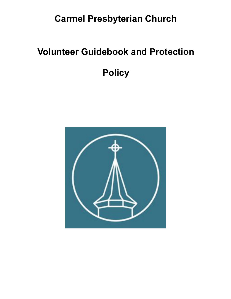## **Carmel Presbyterian Church**

## **Volunteer Guidebook and Protection**

**Policy**

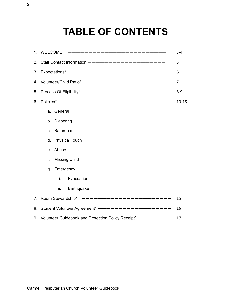## **TABLE OF CONTENTS**

|    | __________________________<br>1. WELCOME                      | $3 - 4$   |
|----|---------------------------------------------------------------|-----------|
|    | 2. Staff Contact Information -------------------              | 5         |
|    | 3. Expectations* $---------------------------------$          | 6         |
|    | 4. Volunteer/Child Ratio* --------------------                | 7         |
|    | 5. Process Of Eligibility* ---------------------              | $8 - 9$   |
| 6. | Policies* ----------------------------                        | $10 - 15$ |
|    | a. General                                                    |           |
|    | b. Diapering                                                  |           |
|    | Bathroom<br>C.                                                |           |
|    | d. Physical Touch                                             |           |
|    | Abuse<br>e.                                                   |           |
|    | f.<br><b>Missing Child</b>                                    |           |
|    | Emergency<br>g.                                               |           |
|    | i.<br>Evacuation                                              |           |
|    | ii.<br>Earthquake                                             |           |
|    | 7. Room Stewardship* -----------------------                  | 15        |
|    | 8. Student Volunteer Agreement* -------------------           | 16        |
|    | 9. Volunteer Guidebook and Protection Policy Receipt* ------- | 17        |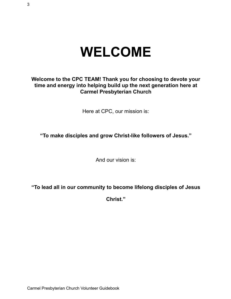# **WELCOME**

### **Welcome to the CPC TEAM! Thank you for choosing to devote your time and energy into helping build up the next generation here at Carmel Presbyterian Church**

Here at CPC, our mission is:

**"To make disciples and grow Christ-like followers of Jesus."**

And our vision is:

**"To lead all in our community to become lifelong disciples of Jesus**

**Christ."**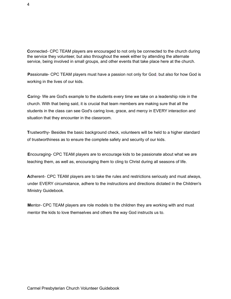**C**onnected- CPC TEAM players are encouraged to not only be connected to the church during the service they volunteer, but also throughout the week either by attending the alternate service, being involved in small groups, and other events that take place here at the church.

Passionate- CPC TEAM players must have a passion not only for God, but also for how God is working in the lives of our kids.

**C**aring- We are God's example to the students every time we take on a leadership role in the church. With that being said, it is crucial that team members are making sure that all the students in the class can see God's caring love, grace, and mercy in EVERY interaction and situation that they encounter in the classroom.

**T**rustworthy- Besides the basic background check, volunteers will be held to a higher standard of trustworthiness as to ensure the complete safety and security of our kids.

**E**ncouraging- CPC TEAM players are to encourage kids to be passionate about what we are teaching them, as well as, encouraging them to cling to Christ during all seasons of life.

**A**dherent- CPC TEAM players are to take the rules and restrictions seriously and must always, under EVERY circumstance, adhere to the instructions and directions dictated in the Children's Ministry Guidebook.

**M**entor- CPC TEAM players are role models to the children they are working with and must mentor the kids to love themselves and others the way God instructs us to.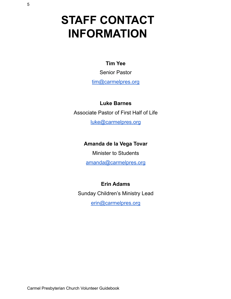# **STAFF CONTACT INFORMATION**

### **Tim Yee**

Senior Pastor

[tim@carmelpres.org](mailto:tim@carmelpres.org)

**Luke Barnes**

Associate Pastor of First Half of Life

luke@carmelpres.org

### **Amanda de la Vega Tovar**

Minister to Students [amanda@carmelpres.org](mailto:amanda@carmelpres.org)

### **Erin Adams**

Sunday Children's Ministry Lead

erin@carmelpres.org

Carmel Presbyterian Church Volunteer Guidebook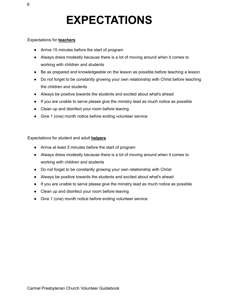# **EXPECTATIONS**

#### Expectations for **teachers**

- Arrive 15 minutes before the start of program
- Always dress modestly because there is a lot of moving around when it comes to working with children and students
- Be as prepared and knowledgeable on the lesson as possible before teaching a lesson
- Do not forget to be constantly growing your own relationship with Christ before teaching the children and students
- Always be positive towards the students and excited about what's ahead
- If you are unable to serve please give the ministry lead as much notice as possible
- Clean up and disinfect your room before leaving
- Give 1 (one) month notice before ending volunteer service

Expectations for student and adult **helpers**

- Arrive at least 5 minutes before the start of program
- Always dress modestly because there is a lot of moving around when it comes to working with children and students
- Do not forget to be constantly growing your own relationship with Christ
- Always be positive towards the students and excited about what's ahead
- If you are unable to serve please give the ministry lead as much notice as possible
- Clean up and disinfect your room before leaving
- Give 1 (one) month notice before ending volunteer service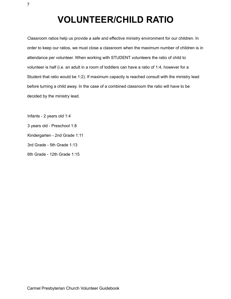## **VOLUNTEER/CHILD RATIO**

Classroom ratios help us provide a safe and effective ministry environment for our children. In order to keep our ratios, we must close a classroom when the maximum number of children is in attendance per volunteer. When working with STUDENT volunteers the ratio of child to volunteer is half (i.e. an adult in a room of toddlers can have a ratio of 1:4, however for a Student that ratio would be 1:2). If maximum capacity is reached consult with the ministry lead before turning a child away. In the case of a combined classroom the ratio will have to be decided by the ministry lead.

Infants - 2 years old 1:4 3 years old - Preschool 1:8 Kindergarten - 2nd Grade 1:11 3rd Grade - 5th Grade 1:13 6th Grade - 12th Grade 1:15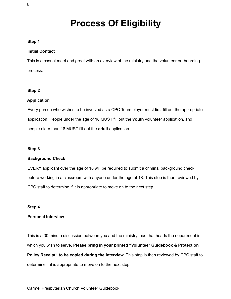## **Process Of Eligibility**

#### **Step 1**

#### **Initial Contact**

This is a casual meet and greet with an overview of the ministry and the volunteer on-boarding process.

#### **Step 2**

#### **Application**

Every person who wishes to be involved as a CPC Team player must first fill out the appropriate application. People under the age of 18 MUST fill out the **youth** volunteer application, and people older than 18 MUST fill out the **adult** application.

#### **Step 3**

#### **Background Check**

EVERY applicant over the age of 18 will be required to submit a criminal background check before working in a classroom with anyone under the age of 18. This step is then reviewed by CPC staff to determine if it is appropriate to move on to the next step.

#### **Step 4**

#### **Personal Interview**

This is a 30 minute discussion between you and the ministry lead that heads the department in which you wish to serve. **Please bring in your printed "Volunteer Guidebook & Protection Policy Receipt" to be copied during the interview.** This step is then reviewed by CPC staff to determine if it is appropriate to move on to the next step.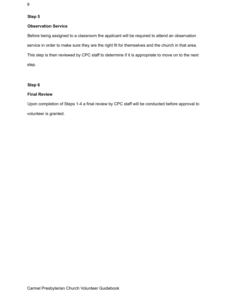#### **Step 5**

#### **Observation Service**

Before being assigned to a classroom the applicant will be required to attend an observation service in order to make sure they are the right fit for themselves and the church in that area. This step is then reviewed by CPC staff to determine if it is appropriate to move on to the next step.

#### **Step 6**

#### **Final Review**

Upon completion of Steps 1-4 a final review by CPC staff will be conducted before approval to volunteer is granted.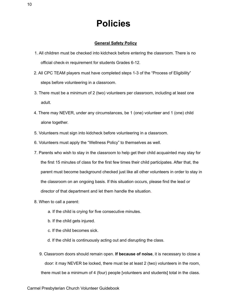### **Policies**

#### **General Safety Policy**

- 1. All children must be checked into kidcheck before entering the classroom. There is no official check-in requirement for students Grades 6-12.
- 2. All CPC TEAM players must have completed steps 1-3 of the "Process of Eligibility" steps before volunteering in a classroom.
- 3. There must be a minimum of 2 (two) volunteers per classroom, including at least one adult.
- 4. There may NEVER, under any circumstances, be 1 (one) volunteer and 1 (one) child alone together.
- 5. Volunteers must sign into kidcheck before volunteering in a classroom.
- 6. Volunteers must apply the "Wellness Policy" to themselves as well.
- 7. Parents who wish to stay in the classroom to help get their child acquainted may stay for the first 15 minutes of class for the first few times their child participates. After that, the parent must become background checked just like all other volunteers in order to stay in the classroom on an ongoing basis. If this situation occurs, please find the lead or director of that department and let them handle the situation.
- 8. When to call a parent:
	- a. If the child is crying for five consecutive minutes.
	- b. If the child gets injured.
	- c. If the child becomes sick.
	- d. If the child is continuously acting out and disrupting the class.
	- 9. Classroom doors should remain open. **If because of noise**, it is necessary to close a door: it may NEVER be locked, there must be at least 2 (two) volunteers in the room, there must be a minimum of 4 (four) people [volunteers and students] total in the class.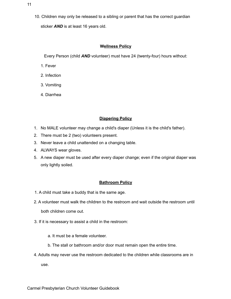10. Children may only be released to a sibling or parent that has the correct guardian sticker *AND* is at least 16 years old.

#### **Wellness Policy**

Every Person (child *AND* volunteer) must have 24 (twenty-four) hours without:

- 1. Fever
- 2. Infection
- 3. Vomiting
- 4. Diarrhea

#### **Diapering Policy**

- 1. No MALE volunteer may change a child's diaper (Unless it is the child's father).
- 2. There must be 2 (two) volunteers present.
- 3. Never leave a child unattended on a changing table.
- 4. ALWAYS wear gloves.
- 5. A new diaper must be used after every diaper change; even if the original diaper was only lightly soiled.

#### **Bathroom Policy**

- 1. A child must take a buddy that is the same age.
- 2. A volunteer must walk the children to the restroom and wait outside the restroom until both children come out.
- 3. If it is necessary to assist a child in the restroom:
	- a. It must be a female volunteer.
	- b. The stall or bathroom and/or door must remain open the entire time.
- 4. Adults may never use the restroom dedicated to the children while classrooms are in

use.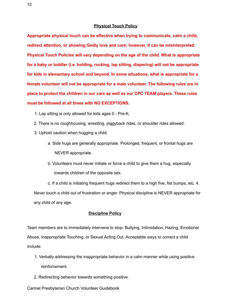#### **Physical Touch Policy**

**Appropriate physical touch can be effective when trying to communicate, calm a child, redirect attention, or showing Godly love and care; however, it can be misinterpreted. Physical Touch Policies will vary depending on the age of the child. What is appropriate for a baby or toddler (i.e. holding, rocking, lap sitting, diapering) will not be appropriate for kids in elementary school and beyond. In some situations, what is appropriate for a female volunteer will not be appropriate for a male volunteer. The following rules are in place to protect the children in our care as well as our CPC TEAM players. These rules must be followed at all times with NO EXCEPTIONS.**

- 1. Lap sitting is only allowed for kids ages 0 Pre-K.
- 2. There is no roughhousing, wrestling, piggyback rides, or shoulder rides allowed.
- 3. Uphold caution when hugging a child.
	- a. Side hugs are generally appropriate. Prolonged, frequent, or frontal hugs are NEVER appropriate.
	- b. Volunteers must never initiate or force a child to give them a hug, especially towards children of the opposite sex.

c. If a child is initiating frequent hugs redirect them to a high five, fist bumps, etc. 4. Never touch a child out of frustration or anger. Physical discipline is NEVER appropriate for any child of any age.

#### **Discipline Policy**

Team members are to immediately intervene to stop: Bullying, Intimidation, Hazing, Emotional Abuse, Inappropriate Touching, or Sexual Acting Out. Acceptable ways to correct a child include:

- 1. Verbally addressing the inappropriate behavior in a calm manner while using positive reinforcement.
- 2. Redirecting behavior towards something positive.

Carmel Presbyterian Church Volunteer Guidebook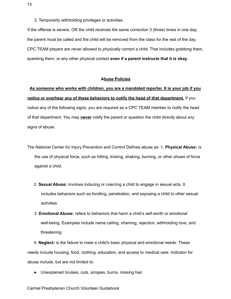3. Temporarily withholding privileges or activities.

If the offense is severe, OR the child receives the same correction 3 (three) times in one day, the parent must be called and the child will be removed from the class for the rest of the day. CPC TEAM players are never allowed to physically correct a child. That includes grabbing them, spanking them, or any other physical contact **even if a parent instructs that it is okay**.

#### **Abuse Policies**

### **As someone who works with children, you are a mandated reporter. It is your job if you notice or overhear any of these behaviors to notify the head of that department.** If you notice any of the following signs, you are required as a CPC TEAM member to notify the head of that department. You may **never** notify the parent or question the child directly about any signs of abuse.

The National Center for Injury Prevention and Control Defines abuse as: 1. **Physical Abuse:** is the use of physical force, such as hitting, kicking, shaking, burning, or other shows of force against a child.

- 2. **Sexual Abuse:** involves inducing or coercing a child to engage in sexual acts. It includes behaviors such as fondling, penetration, and exposing a child to other sexual activities.
- 3. **Emotional Abuse:** refers to behaviors that harm a child's self-worth or emotional well-being. Examples include name calling, shaming, rejection, withholding love, and threatening.

4. **Neglect:** is the failure to meet a child's basic physical and emotional needs. These needs include housing, food, clothing, education, and access to medical care. Indicator for abuse include, but are not limited to:

● Unexplained bruises, cuts, scrapes, burns, missing hair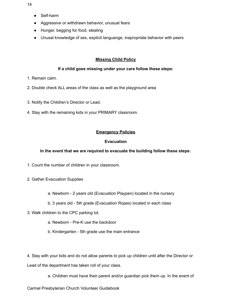- Self-harm
- Aggressive or withdrawn behavior, unusual fears
- Hunger, begging for food, stealing
- Unusal knowledge of sex, explicit languange, inapropriate behavior with peers

#### **Missing Child Policy**

#### **If a child goes missing under your care follow these steps:**

- 1. Remain calm.
- 2. Double check ALL areas of the class as well as the playground area
- 3. Notify the Children's Director or Lead.
- 4. Stay with the remaining kids in your PRIMARY classroom.

#### **Emergency Policies**

#### **Evacuation**

#### **In the event that we are required to evacuate the building follow these steps:**

- 1. Count the number of children in your classroom.
- 2. Gather Evacuation Supplies
	- a. Newborn 2 years old (Evacuation Playpen) located in the nursery
	- b. 3 years old 5th grade (Evacuation Ropes) located in each class
- 3. Walk children to the CPC parking lot.
	- a. Newborn Pre-K use the backdoor
	- b. Kindergarten 5th grade use the main entrance

4. Stay with your kids and do not allow parents to pick up children until after the Director or Lead of the department has taken roll of your class.

a. Children must have their parent and/or guardian pick them up. In the event of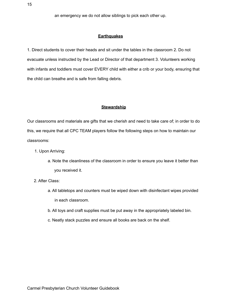an emergency we do not allow siblings to pick each other up.

#### **Earthquakes**

1. Direct students to cover their heads and sit under the tables in the classroom 2. Do not evacuate unless instructed by the Lead or Director of that department 3. Volunteers working with infants and toddlers must cover EVERY child with either a crib or your body, ensuring that the child can breathe and is safe from falling debris.

#### **Stewardship**

Our classrooms and materials are gifts that we cherish and need to take care of; in order to do this, we require that all CPC TEAM players follow the following steps on how to maintain our classrooms:

- 1. Upon Arriving:
	- a. Note the cleanliness of the classroom in order to ensure you leave it better than you received it.
- 2. After Class:
	- a. All tabletops and counters must be wiped down with disinfectant wipes provided in each classroom.
	- b. All toys and craft supplies must be put away in the appropriately labeled bin.
	- c. Neatly stack puzzles and ensure all books are back on the shelf.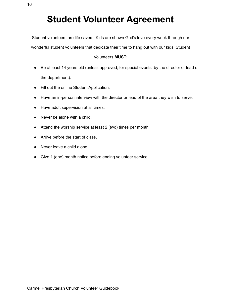Student volunteers are life savers! Kids are shown God's love every week through our

wonderful student volunteers that dedicate their time to hang out with our kids. Student

#### Volunteers **MUST**:

- Be at least 14 years old (unless approved, for special events, by the director or lead of the department).
- Fill out the online Student Application.
- Have an in-person interview with the director or lead of the area they wish to serve.
- Have adult supervision at all times.
- Never be alone with a child.
- Attend the worship service at least 2 (two) times per month.
- Arrive before the start of class.
- Never leave a child alone.
- Give 1 (one) month notice before ending volunteer service.